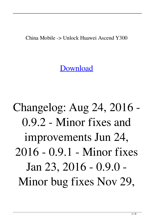China Mobile -> Unlock Huawei Ascend Y300

[Download](http://evacdir.com/flagsticks.osterberg?vasotec=vezertzis=ZGVzY2FyZ2FyIHVubG9jayByb290IHBybyAzLjQxIGZ1bGwgcmFyZGV=ZG93bmxvYWR8VEkyWVdaaWRIeDhNVFkxTlRnME1qazRNWHg4TWpVNU1IeDhLRTBwSUZkdmNtUndjbVZ6Y3lCYldFMU1VbEJESUZZeUlGQkVSbDA)

Changelog: Aug 24, 2016 - 0.9.2 - Minor fixes and improvements Jun 24, 2016 - 0.9.1 - Minor fixes Jan 23, 2016 - 0.9.0 - Minor bug fixes Nov 29,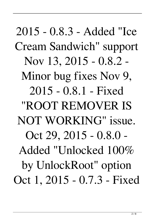2015 - 0.8.3 - Added "Ice Cream Sandwich" support Nov 13, 2015 - 0.8.2 - Minor bug fixes Nov 9, 2015 - 0.8.1 - Fixed "ROOT REMOVER IS NOT WORKING" issue. Oct 29, 2015 - 0.8.0 - Added "Unlocked 100% by UnlockRoot" option Oct 1, 2015 - 0.7.3 - Fixed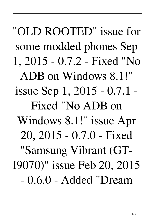"OLD ROOTED" issue for some modded phones Sep 1, 2015 - 0.7.2 - Fixed "No ADB on Windows 8.1!" issue Sep 1, 2015 - 0.7.1 - Fixed "No ADB on Windows 8.1!" issue Apr 20, 2015 - 0.7.0 - Fixed "Samsung Vibrant (GT-I9070)" issue Feb 20, 2015 - 0.6.0 - Added "Dream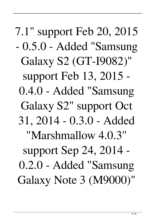7.1" support Feb 20, 2015 - 0.5.0 - Added "Samsung Galaxy S2 (GT-I9082)" support Feb 13, 2015 - 0.4.0 - Added "Samsung Galaxy S2" support Oct 31, 2014 - 0.3.0 - Added "Marshmallow 4.0.3" support Sep 24, 2014 - 0.2.0 - Added "Samsung Galaxy Note 3 (M9000)"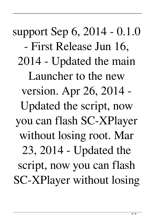support Sep 6, 2014 - 0.1.0 - First Release Jun 16, 2014 - Updated the main Launcher to the new version. Apr 26, 2014 - Updated the script, now you can flash SC-XPlayer without losing root. Mar 23, 2014 - Updated the script, now you can flash SC-XPlayer without losing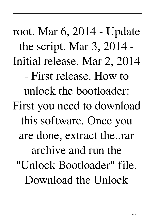root. Mar 6, 2014 - Update the script. Mar 3, 2014 - Initial release. Mar 2, 2014 - First release. How to unlock the bootloader: First you need to download this software. Once you are done, extract the..rar archive and run the "Unlock Bootloader" file. Download the Unlock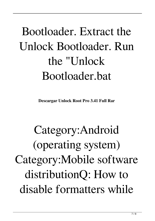## Bootloader. Extract the Unlock Bootloader. Run the "Unlock Bootloader.bat

**Descargar Unlock Root Pro 3.41 Full Rar**

Category:Android (operating system) Category:Mobile software distributionQ: How to disable formatters while